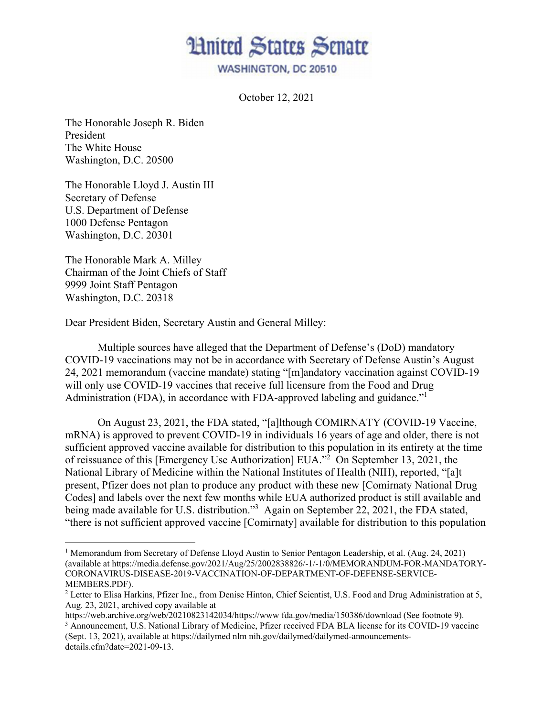**Hnited States Senate** 

**WASHINGTON, DC 20510** 

October 12, 2021

The Honorable Joseph R. Biden President The White House Washington, D.C. 20500

The Honorable Lloyd J. Austin III Secretary of Defense U.S. Department of Defense 1000 Defense Pentagon Washington, D.C. 20301

The Honorable Mark A. Milley Chairman of the Joint Chiefs of Staff 9999 Joint Staff Pentagon Washington, D.C. 20318

 $\overline{\phantom{a}}$ 

Dear President Biden, Secretary Austin and General Milley:

Multiple sources have alleged that the Department of Defense's (DoD) mandatory COVID-19 vaccinations may not be in accordance with Secretary of Defense Austin's August 24, 2021 memorandum (vaccine mandate) stating "[m]andatory vaccination against COVID-19 will only use COVID-19 vaccines that receive full licensure from the Food and Drug Administration (FDA), in accordance with FDA-approved labeling and guidance."<sup>1</sup>

On August 23, 2021, the FDA stated, "[a]lthough COMIRNATY (COVID-19 Vaccine, mRNA) is approved to prevent COVID-19 in individuals 16 years of age and older, there is not sufficient approved vaccine available for distribution to this population in its entirety at the time of reissuance of this [Emergency Use Authorization] EUA."<sup>2</sup> On September 13, 2021, the National Library of Medicine within the National Institutes of Health (NIH), reported, "[a]t present, Pfizer does not plan to produce any product with these new [Comirnaty National Drug Codes] and labels over the next few months while EUA authorized product is still available and being made available for U.S. distribution."<sup>3</sup> Again on September 22, 2021, the FDA stated, "there is not sufficient approved vaccine [Comirnaty] available for distribution to this population

<sup>&</sup>lt;sup>1</sup> Memorandum from Secretary of Defense Lloyd Austin to Senior Pentagon Leadership, et al. (Aug. 24, 2021) (available at https://media.defense.gov/2021/Aug/25/2002838826/-1/-1/0/MEMORANDUM-FOR-MANDATORY-CORONAVIRUS-DISEASE-2019-VACCINATION-OF-DEPARTMENT-OF-DEFENSE-SERVICE-MEMBERS.PDF).

<sup>&</sup>lt;sup>2</sup> Letter to Elisa Harkins, Pfizer Inc., from Denise Hinton, Chief Scientist, U.S. Food and Drug Administration at 5, Aug. 23, 2021, archived copy available at

https://web.archive.org/web/20210823142034/https://www fda.gov/media/150386/download (See footnote 9). 3 <sup>3</sup> Announcement, U.S. National Library of Medicine, Pfizer received FDA BLA license for its COVID-19 vaccine

<sup>(</sup>Sept. 13, 2021), available at https://dailymed nlm nih.gov/dailymed/dailymed-announcementsdetails.cfm?date=2021-09-13.